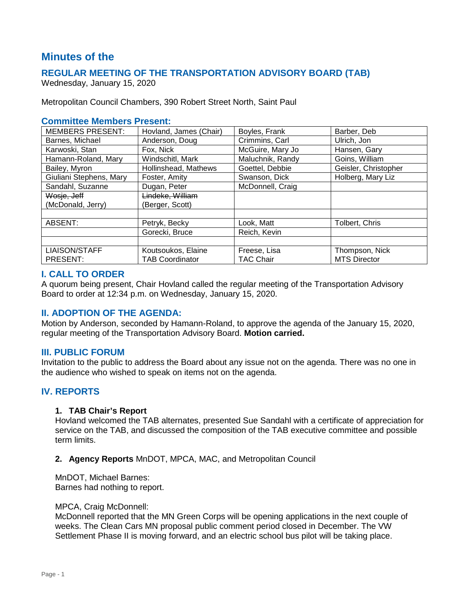# **Minutes of the**

# **REGULAR MEETING OF THE TRANSPORTATION ADVISORY BOARD (TAB)**

Wednesday, January 15, 2020

Metropolitan Council Chambers, 390 Robert Street North, Saint Paul

### **Committee Members Present:**

| <b>MEMBERS PRESENT:</b> | Hovland, James (Chair) | Boyles, Frank    | Barber, Deb          |
|-------------------------|------------------------|------------------|----------------------|
| Barnes, Michael         | Anderson, Doug         | Crimmins, Carl   | Ulrich, Jon          |
| Karwoski, Stan          | Fox, Nick              | McGuire, Mary Jo | Hansen, Gary         |
| Hamann-Roland, Mary     | Windschitl, Mark       | Maluchnik, Randy | Goins, William       |
| Bailey, Myron           | Hollinshead, Mathews   | Goettel, Debbie  | Geisler, Christopher |
| Giuliani Stephens, Mary | Foster, Amity          | Swanson, Dick    | Holberg, Mary Liz    |
| Sandahl, Suzanne        | Dugan, Peter           | McDonnell, Craig |                      |
| Wosje, Jeff             | Lindeke, William       |                  |                      |
| (McDonald, Jerry)       | (Berger, Scott)        |                  |                      |
|                         |                        |                  |                      |
| ABSENT:                 | Petryk, Becky          | Look, Matt       | Tolbert, Chris       |
|                         | Gorecki, Bruce         | Reich, Kevin     |                      |
|                         |                        |                  |                      |
| <b>LIAISON/STAFF</b>    | Koutsoukos, Elaine     | Freese, Lisa     | Thompson, Nick       |
| PRESENT:                | TAB Coordinator        | TAC Chair        | <b>MTS Director</b>  |

# **I. CALL TO ORDER**

A quorum being present, Chair Hovland called the regular meeting of the Transportation Advisory Board to order at 12:34 p.m. on Wednesday, January 15, 2020.

# **II. ADOPTION OF THE AGENDA:**

Motion by Anderson, seconded by Hamann-Roland, to approve the agenda of the January 15, 2020, regular meeting of the Transportation Advisory Board. **Motion carried.**

### **III. PUBLIC FORUM**

Invitation to the public to address the Board about any issue not on the agenda. There was no one in the audience who wished to speak on items not on the agenda.

# **IV. REPORTS**

### **1. TAB Chair's Report**

Hovland welcomed the TAB alternates, presented Sue Sandahl with a certificate of appreciation for service on the TAB, and discussed the composition of the TAB executive committee and possible term limits.

### **2. Agency Reports** MnDOT, MPCA, MAC, and Metropolitan Council

MnDOT, Michael Barnes: Barnes had nothing to report.

#### MPCA, Craig McDonnell:

McDonnell reported that the MN Green Corps will be opening applications in the next couple of weeks. The Clean Cars MN proposal public comment period closed in December. The VW Settlement Phase II is moving forward, and an electric school bus pilot will be taking place.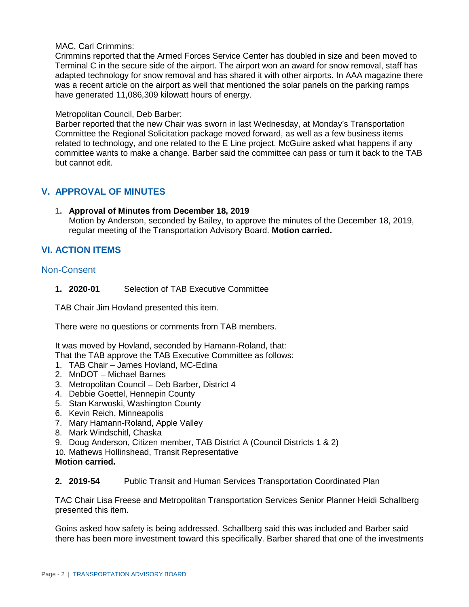### MAC, Carl Crimmins:

Crimmins reported that the Armed Forces Service Center has doubled in size and been moved to Terminal C in the secure side of the airport. The airport won an award for snow removal, staff has adapted technology for snow removal and has shared it with other airports. In AAA magazine there was a recent article on the airport as well that mentioned the solar panels on the parking ramps have generated 11,086,309 kilowatt hours of energy.

### Metropolitan Council, Deb Barber:

Barber reported that the new Chair was sworn in last Wednesday, at Monday's Transportation Committee the Regional Solicitation package moved forward, as well as a few business items related to technology, and one related to the E Line project. McGuire asked what happens if any committee wants to make a change. Barber said the committee can pass or turn it back to the TAB but cannot edit.

# **V. APPROVAL OF MINUTES**

**1. Approval of Minutes from December 18, 2019** Motion by Anderson, seconded by Bailey, to approve the minutes of the December 18, 2019, regular meeting of the Transportation Advisory Board. **Motion carried.**

# **VI. ACTION ITEMS**

# Non-Consent

**1. 2020-01** Selection of TAB Executive Committee

TAB Chair Jim Hovland presented this item.

There were no questions or comments from TAB members.

It was moved by Hovland, seconded by Hamann-Roland, that:

That the TAB approve the TAB Executive Committee as follows:

- 1. TAB Chair James Hovland, MC-Edina
- 2. MnDOT Michael Barnes
- 3. Metropolitan Council Deb Barber, District 4
- 4. Debbie Goettel, Hennepin County
- 5. Stan Karwoski, Washington County
- 6. Kevin Reich, Minneapolis
- 7. Mary Hamann-Roland, Apple Valley
- 8. Mark Windschitl, Chaska
- 9. Doug Anderson, Citizen member, TAB District A (Council Districts 1 & 2)
- 10. Mathews Hollinshead, Transit Representative
- **Motion carried.**

### **2. 2019-54** Public Transit and Human Services Transportation Coordinated Plan

TAC Chair Lisa Freese and Metropolitan Transportation Services Senior Planner Heidi Schallberg presented this item.

Goins asked how safety is being addressed. Schallberg said this was included and Barber said there has been more investment toward this specifically. Barber shared that one of the investments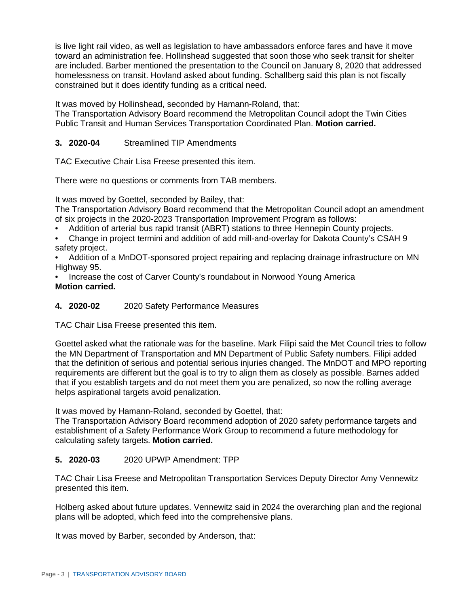is live light rail video, as well as legislation to have ambassadors enforce fares and have it move toward an administration fee. Hollinshead suggested that soon those who seek transit for shelter are included. Barber mentioned the presentation to the Council on January 8, 2020 that addressed homelessness on transit. Hovland asked about funding. Schallberg said this plan is not fiscally constrained but it does identify funding as a critical need.

It was moved by Hollinshead, seconded by Hamann-Roland, that:

The Transportation Advisory Board recommend the Metropolitan Council adopt the Twin Cities Public Transit and Human Services Transportation Coordinated Plan. **Motion carried.**

# **3. 2020-04** Streamlined TIP Amendments

TAC Executive Chair Lisa Freese presented this item.

There were no questions or comments from TAB members.

It was moved by Goettel, seconded by Bailey, that:

The Transportation Advisory Board recommend that the Metropolitan Council adopt an amendment of six projects in the 2020-2023 Transportation Improvement Program as follows:

- Addition of arterial bus rapid transit (ABRT) stations to three Hennepin County projects.
- Change in project termini and addition of add mill-and-overlay for Dakota County's CSAH 9 safety project.

• Addition of a MnDOT-sponsored project repairing and replacing drainage infrastructure on MN Highway 95.

• Increase the cost of Carver County's roundabout in Norwood Young America **Motion carried.**

**4. 2020-02** 2020 Safety Performance Measures

TAC Chair Lisa Freese presented this item.

Goettel asked what the rationale was for the baseline. Mark Filipi said the Met Council tries to follow the MN Department of Transportation and MN Department of Public Safety numbers. Filipi added that the definition of serious and potential serious injuries changed. The MnDOT and MPO reporting requirements are different but the goal is to try to align them as closely as possible. Barnes added that if you establish targets and do not meet them you are penalized, so now the rolling average helps aspirational targets avoid penalization.

It was moved by Hamann-Roland, seconded by Goettel, that:

The Transportation Advisory Board recommend adoption of 2020 safety performance targets and establishment of a Safety Performance Work Group to recommend a future methodology for calculating safety targets. **Motion carried.**

# **5. 2020-03** 2020 UPWP Amendment: TPP

TAC Chair Lisa Freese and Metropolitan Transportation Services Deputy Director Amy Vennewitz presented this item.

Holberg asked about future updates. Vennewitz said in 2024 the overarching plan and the regional plans will be adopted, which feed into the comprehensive plans.

It was moved by Barber, seconded by Anderson, that: